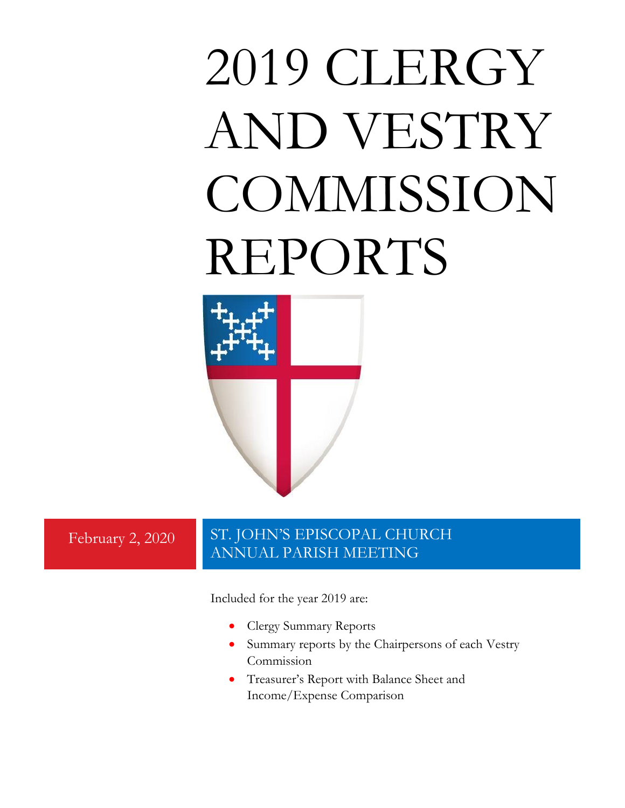# 2019 CLERGY AND VESTRY **COMMISSION** REPORTS



# February 2, 2020 ST. JOHN'S EPISCOPAL CHURCH ANNUAL PARISH MEETING

Included for the year 2019 are:

- Clergy Summary Reports
- Summary reports by the Chairpersons of each Vestry Commission
- Treasurer's Report with Balance Sheet and Income/Expense Comparison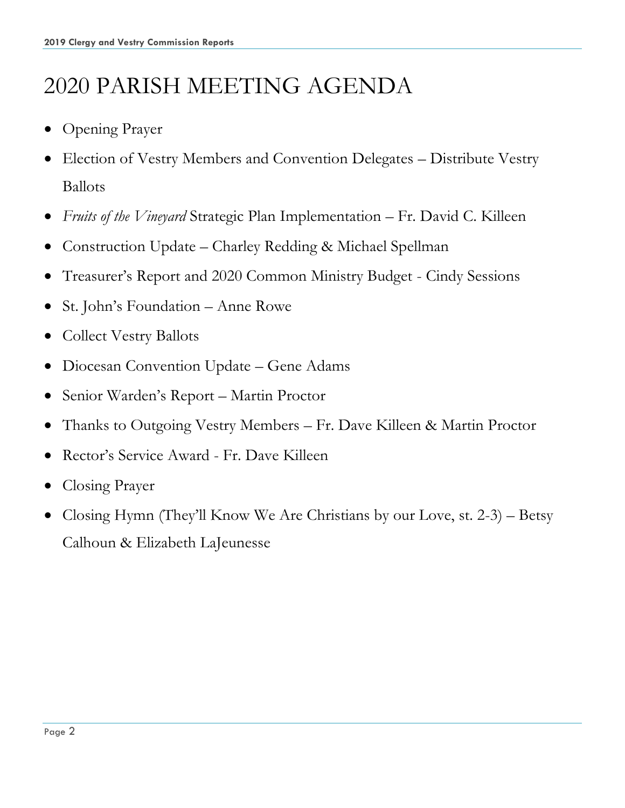# 2020 PARISH MEETING AGENDA

- Opening Prayer
- Election of Vestry Members and Convention Delegates Distribute Vestry Ballots
- *Fruits of the Vineyard* Strategic Plan Implementation Fr. David C. Killeen
- Construction Update Charley Redding & Michael Spellman
- Treasurer's Report and 2020 Common Ministry Budget Cindy Sessions
- St. John's Foundation Anne Rowe
- Collect Vestry Ballots
- Diocesan Convention Update Gene Adams
- Senior Warden's Report Martin Proctor
- Thanks to Outgoing Vestry Members Fr. Dave Killeen & Martin Proctor
- Rector's Service Award Fr. Dave Killeen
- Closing Prayer
- Closing Hymn (They'll Know We Are Christians by our Love, st. 2-3) Betsy Calhoun & Elizabeth LaJeunesse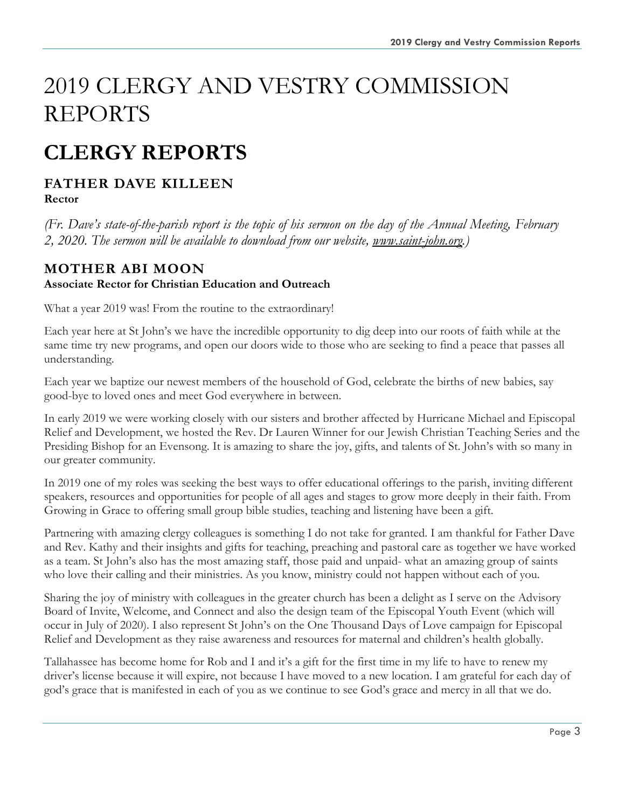# 2019 CLERGY AND VESTRY COMMISSION REPORTS

# **CLERGY REPORTS**

# **FATHER DAVE KILLEEN**

**Rector**

*(Fr. Dave's state-of-the-parish report is the topic of his sermon on the day of the Annual Meeting, February 2, 2020. The sermon will be available to download from our website, www.saint-john.org.)*

#### **MOTHER ABI MOON Associate Rector for Christian Education and Outreach**

What a year 2019 was! From the routine to the extraordinary!

Each year here at St John's we have the incredible opportunity to dig deep into our roots of faith while at the same time try new programs, and open our doors wide to those who are seeking to find a peace that passes all understanding.

Each year we baptize our newest members of the household of God, celebrate the births of new babies, say good-bye to loved ones and meet God everywhere in between.

In early 2019 we were working closely with our sisters and brother affected by Hurricane Michael and Episcopal Relief and Development, we hosted the Rev. Dr Lauren Winner for our Jewish Christian Teaching Series and the Presiding Bishop for an Evensong. It is amazing to share the joy, gifts, and talents of St. John's with so many in our greater community.

In 2019 one of my roles was seeking the best ways to offer educational offerings to the parish, inviting different speakers, resources and opportunities for people of all ages and stages to grow more deeply in their faith. From Growing in Grace to offering small group bible studies, teaching and listening have been a gift.

Partnering with amazing clergy colleagues is something I do not take for granted. I am thankful for Father Dave and Rev. Kathy and their insights and gifts for teaching, preaching and pastoral care as together we have worked as a team. St John's also has the most amazing staff, those paid and unpaid- what an amazing group of saints who love their calling and their ministries. As you know, ministry could not happen without each of you.

Sharing the joy of ministry with colleagues in the greater church has been a delight as I serve on the Advisory Board of Invite, Welcome, and Connect and also the design team of the Episcopal Youth Event (which will occur in July of 2020). I also represent St John's on the One Thousand Days of Love campaign for Episcopal Relief and Development as they raise awareness and resources for maternal and children's health globally.

Tallahassee has become home for Rob and I and it's a gift for the first time in my life to have to renew my driver's license because it will expire, not because I have moved to a new location. I am grateful for each day of god's grace that is manifested in each of you as we continue to see God's grace and mercy in all that we do.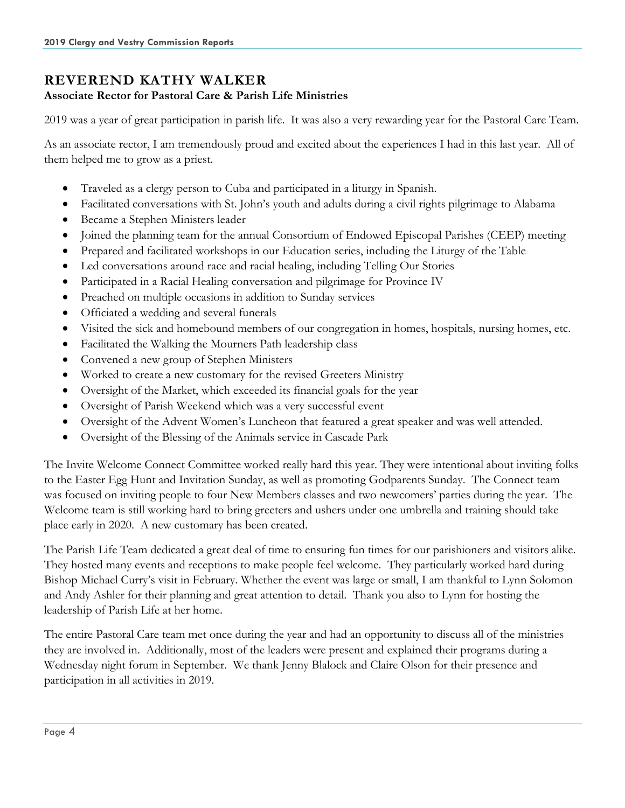# **REVEREND KATHY WALKER**

#### **Associate Rector for Pastoral Care & Parish Life Ministries**

2019 was a year of great participation in parish life. It was also a very rewarding year for the Pastoral Care Team.

As an associate rector, I am tremendously proud and excited about the experiences I had in this last year. All of them helped me to grow as a priest.

- Traveled as a clergy person to Cuba and participated in a liturgy in Spanish.
- Facilitated conversations with St. John's youth and adults during a civil rights pilgrimage to Alabama
- Became a Stephen Ministers leader
- Joined the planning team for the annual Consortium of Endowed Episcopal Parishes (CEEP) meeting
- Prepared and facilitated workshops in our Education series, including the Liturgy of the Table
- Led conversations around race and racial healing, including Telling Our Stories
- Participated in a Racial Healing conversation and pilgrimage for Province IV
- Preached on multiple occasions in addition to Sunday services
- Officiated a wedding and several funerals
- Visited the sick and homebound members of our congregation in homes, hospitals, nursing homes, etc.
- Facilitated the Walking the Mourners Path leadership class
- Convened a new group of Stephen Ministers
- Worked to create a new customary for the revised Greeters Ministry
- Oversight of the Market, which exceeded its financial goals for the year
- Oversight of Parish Weekend which was a very successful event
- Oversight of the Advent Women's Luncheon that featured a great speaker and was well attended.
- Oversight of the Blessing of the Animals service in Cascade Park

The Invite Welcome Connect Committee worked really hard this year. They were intentional about inviting folks to the Easter Egg Hunt and Invitation Sunday, as well as promoting Godparents Sunday. The Connect team was focused on inviting people to four New Members classes and two newcomers' parties during the year. The Welcome team is still working hard to bring greeters and ushers under one umbrella and training should take place early in 2020. A new customary has been created.

The Parish Life Team dedicated a great deal of time to ensuring fun times for our parishioners and visitors alike. They hosted many events and receptions to make people feel welcome. They particularly worked hard during Bishop Michael Curry's visit in February. Whether the event was large or small, I am thankful to Lynn Solomon and Andy Ashler for their planning and great attention to detail. Thank you also to Lynn for hosting the leadership of Parish Life at her home.

The entire Pastoral Care team met once during the year and had an opportunity to discuss all of the ministries they are involved in. Additionally, most of the leaders were present and explained their programs during a Wednesday night forum in September. We thank Jenny Blalock and Claire Olson for their presence and participation in all activities in 2019.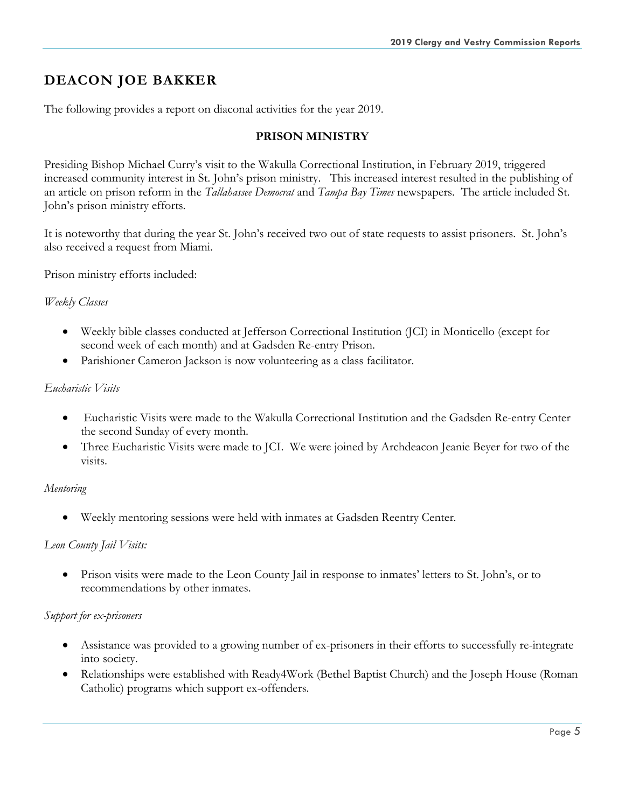# **DEACON JOE BAKKER**

The following provides a report on diaconal activities for the year 2019.

#### **PRISON MINISTRY**

Presiding Bishop Michael Curry's visit to the Wakulla Correctional Institution, in February 2019, triggered increased community interest in St. John's prison ministry. This increased interest resulted in the publishing of an article on prison reform in the *Tallahassee Democrat* and *Tampa Bay Times* newspapers. The article included St. John's prison ministry efforts.

It is noteworthy that during the year St. John's received two out of state requests to assist prisoners. St. John's also received a request from Miami.

Prison ministry efforts included:

#### *Weekly Classes*

- Weekly bible classes conducted at Jefferson Correctional Institution (JCI) in Monticello (except for second week of each month) and at Gadsden Re-entry Prison.
- Parishioner Cameron Jackson is now volunteering as a class facilitator.

#### *Eucharistic Visits*

- Eucharistic Visits were made to the Wakulla Correctional Institution and the Gadsden Re-entry Center the second Sunday of every month.
- Three Eucharistic Visits were made to JCI. We were joined by Archdeacon Jeanie Beyer for two of the visits.

#### *Mentoring*

• Weekly mentoring sessions were held with inmates at Gadsden Reentry Center.

#### *Leon County Jail Visits:*

• Prison visits were made to the Leon County Jail in response to inmates' letters to St. John's, or to recommendations by other inmates.

#### *Support for ex-prisoners*

- Assistance was provided to a growing number of ex-prisoners in their efforts to successfully re-integrate into society.
- Relationships were established with Ready4Work (Bethel Baptist Church) and the Joseph House (Roman Catholic) programs which support ex-offenders.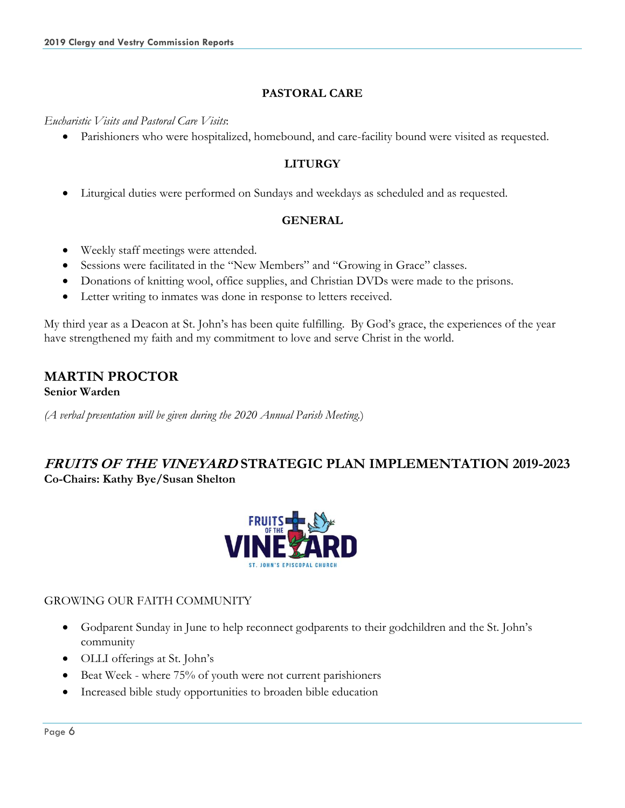#### **PASTORAL CARE**

*Eucharistic Visits and Pastoral Care Visits*:

• Parishioners who were hospitalized, homebound, and care-facility bound were visited as requested.

#### **LITURGY**

• Liturgical duties were performed on Sundays and weekdays as scheduled and as requested.

#### **GENERAL**

- Weekly staff meetings were attended.
- Sessions were facilitated in the "New Members" and "Growing in Grace" classes.
- Donations of knitting wool, office supplies, and Christian DVDs were made to the prisons.
- Letter writing to inmates was done in response to letters received.

My third year as a Deacon at St. John's has been quite fulfilling. By God's grace, the experiences of the year have strengthened my faith and my commitment to love and serve Christ in the world.

#### **MARTIN PROCTOR Senior Warden**

*(A verbal presentation will be given during the 2020 Annual Parish Meeting.*)

# **FRUITS OF THE VINEYARD STRATEGIC PLAN IMPLEMENTATION 2019-2023 Co-Chairs: Kathy Bye/Susan Shelton**



#### GROWING OUR FAITH COMMUNITY

- Godparent Sunday in June to help reconnect godparents to their godchildren and the St. John's community
- OLLI offerings at St. John's
- Beat Week where 75% of youth were not current parishioners
- Increased bible study opportunities to broaden bible education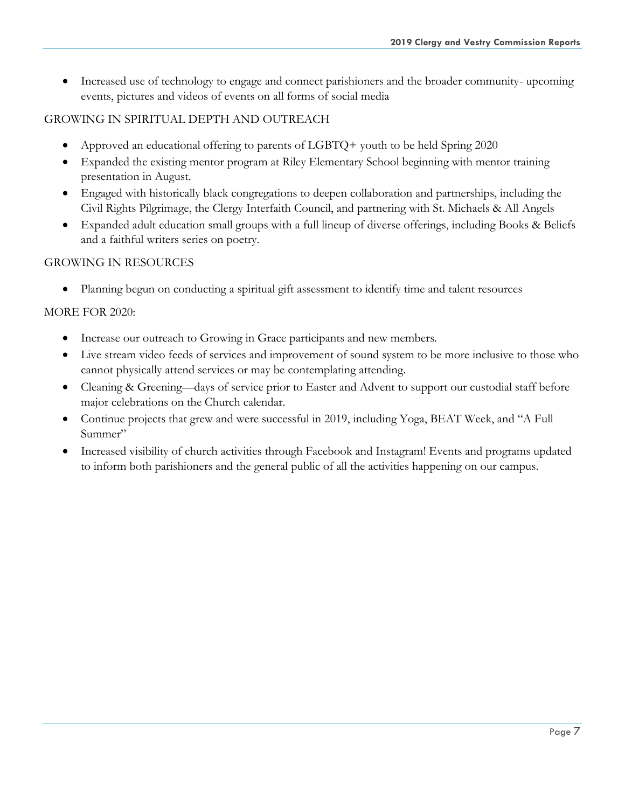• Increased use of technology to engage and connect parishioners and the broader community- upcoming events, pictures and videos of events on all forms of social media

#### GROWING IN SPIRITUAL DEPTH AND OUTREACH

- Approved an educational offering to parents of LGBTQ+ youth to be held Spring 2020
- Expanded the existing mentor program at Riley Elementary School beginning with mentor training presentation in August.
- Engaged with historically black congregations to deepen collaboration and partnerships, including the Civil Rights Pilgrimage, the Clergy Interfaith Council, and partnering with St. Michaels & All Angels
- Expanded adult education small groups with a full lineup of diverse offerings, including Books & Beliefs and a faithful writers series on poetry.

#### GROWING IN RESOURCES

• Planning begun on conducting a spiritual gift assessment to identify time and talent resources

#### MORE FOR 2020:

- Increase our outreach to Growing in Grace participants and new members.
- Live stream video feeds of services and improvement of sound system to be more inclusive to those who cannot physically attend services or may be contemplating attending.
- Cleaning & Greening—days of service prior to Easter and Advent to support our custodial staff before major celebrations on the Church calendar.
- Continue projects that grew and were successful in 2019, including Yoga, BEAT Week, and "A Full Summer"
- Increased visibility of church activities through Facebook and Instagram! Events and programs updated to inform both parishioners and the general public of all the activities happening on our campus.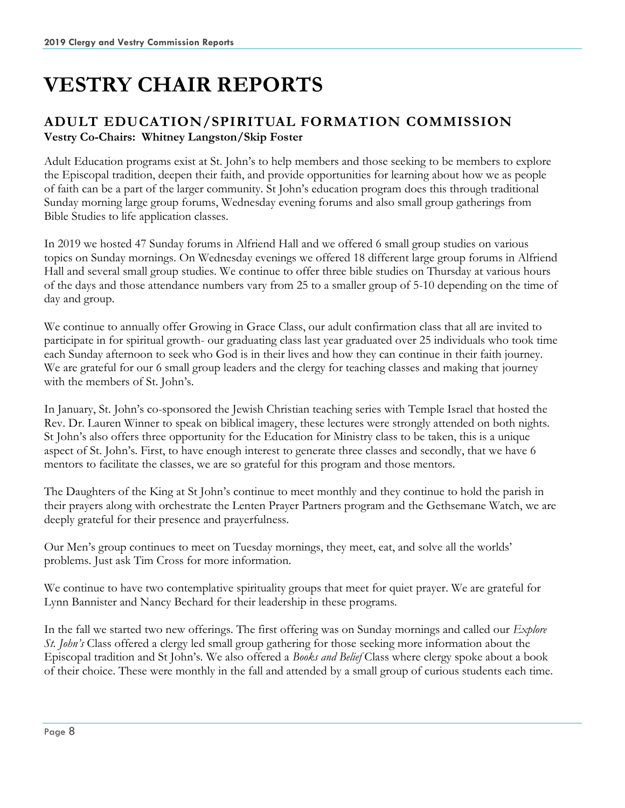# **VESTRY CHAIR REPORTS**

# **ADULT EDUCATION/SPIRITUAL FORMATION COMMISSION Vestry Co-Chairs: Whitney Langston/Skip Foster**

Adult Education programs exist at St. John's to help members and those seeking to be members to explore the Episcopal tradition, deepen their faith, and provide opportunities for learning about how we as people of faith can be a part of the larger community. St John's education program does this through traditional Sunday morning large group forums, Wednesday evening forums and also small group gatherings from Bible Studies to life application classes.

In 2019 we hosted 47 Sunday forums in Alfriend Hall and we offered 6 small group studies on various topics on Sunday mornings. On Wednesday evenings we offered 18 different large group forums in Alfriend Hall and several small group studies. We continue to offer three bible studies on Thursday at various hours of the days and those attendance numbers vary from 25 to a smaller group of 5-10 depending on the time of day and group.

We continue to annually offer Growing in Grace Class, our adult confirmation class that all are invited to participate in for spiritual growth- our graduating class last year graduated over 25 individuals who took time each Sunday afternoon to seek who God is in their lives and how they can continue in their faith journey. We are grateful for our 6 small group leaders and the clergy for teaching classes and making that journey with the members of St. John's.

In January, St. John's co-sponsored the Jewish Christian teaching series with Temple Israel that hosted the Rev. Dr. Lauren Winner to speak on biblical imagery, these lectures were strongly attended on both nights. St John's also offers three opportunity for the Education for Ministry class to be taken, this is a unique aspect of St. John's. First, to have enough interest to generate three classes and secondly, that we have 6 mentors to facilitate the classes, we are so grateful for this program and those mentors.

The Daughters of the King at St John's continue to meet monthly and they continue to hold the parish in their prayers along with orchestrate the Lenten Prayer Partners program and the Gethsemane Watch, we are deeply grateful for their presence and prayerfulness.

Our Men's group continues to meet on Tuesday mornings, they meet, eat, and solve all the worlds' problems. Just ask Tim Cross for more information.

We continue to have two contemplative spirituality groups that meet for quiet prayer. We are grateful for Lynn Bannister and Nancy Bechard for their leadership in these programs.

In the fall we started two new offerings. The first offering was on Sunday mornings and called our *Explore St. John's* Class offered a clergy led small group gathering for those seeking more information about the Episcopal tradition and St John's. We also offered a *Books and Belief* Class where clergy spoke about a book of their choice. These were monthly in the fall and attended by a small group of curious students each time.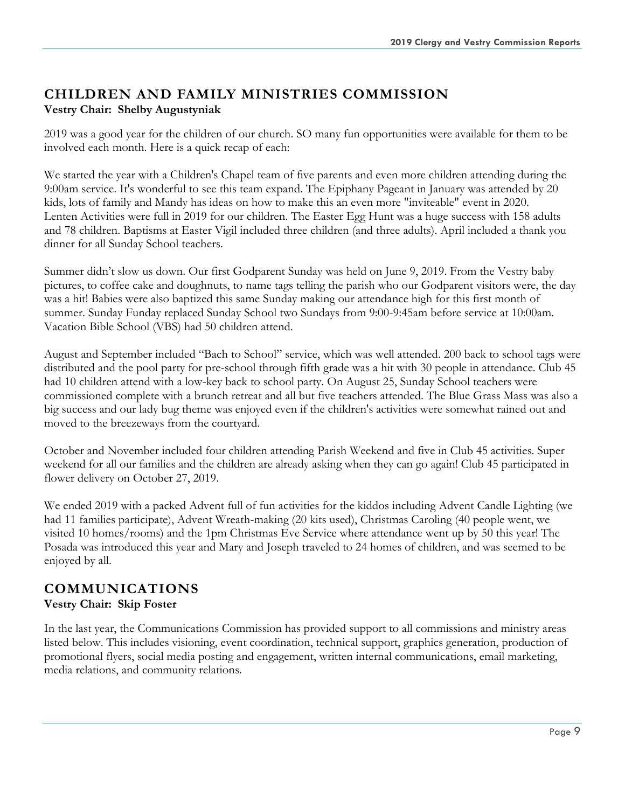# **CHILDREN AND FAMILY MINISTRIES COMMISSION Vestry Chair: Shelby Augustyniak**

2019 was a good year for the children of our church. SO many fun opportunities were available for them to be involved each month. Here is a quick recap of each:

We started the year with a Children's Chapel team of five parents and even more children attending during the 9:00am service. It's wonderful to see this team expand. The Epiphany Pageant in January was attended by 20 kids, lots of family and Mandy has ideas on how to make this an even more "inviteable" event in 2020. Lenten Activities were full in 2019 for our children. The Easter Egg Hunt was a huge success with 158 adults and 78 children. Baptisms at Easter Vigil included three children (and three adults). April included a thank you dinner for all Sunday School teachers.

Summer didn't slow us down. Our first Godparent Sunday was held on June 9, 2019. From the Vestry baby pictures, to coffee cake and doughnuts, to name tags telling the parish who our Godparent visitors were, the day was a hit! Babies were also baptized this same Sunday making our attendance high for this first month of summer. Sunday Funday replaced Sunday School two Sundays from 9:00-9:45am before service at 10:00am. Vacation Bible School (VBS) had 50 children attend.

August and September included "Bach to School" service, which was well attended. 200 back to school tags were distributed and the pool party for pre-school through fifth grade was a hit with 30 people in attendance. Club 45 had 10 children attend with a low-key back to school party. On August 25, Sunday School teachers were commissioned complete with a brunch retreat and all but five teachers attended. The Blue Grass Mass was also a big success and our lady bug theme was enjoyed even if the children's activities were somewhat rained out and moved to the breezeways from the courtyard.

October and November included four children attending Parish Weekend and five in Club 45 activities. Super weekend for all our families and the children are already asking when they can go again! Club 45 participated in flower delivery on October 27, 2019.

We ended 2019 with a packed Advent full of fun activities for the kiddos including Advent Candle Lighting (we had 11 families participate), Advent Wreath-making (20 kits used), Christmas Caroling (40 people went, we visited 10 homes/rooms) and the 1pm Christmas Eve Service where attendance went up by 50 this year! The Posada was introduced this year and Mary and Joseph traveled to 24 homes of children, and was seemed to be enjoyed by all.

# **COMMUNICATIONS Vestry Chair: Skip Foster**

In the last year, the Communications Commission has provided support to all commissions and ministry areas listed below. This includes visioning, event coordination, technical support, graphics generation, production of promotional flyers, social media posting and engagement, written internal communications, email marketing, media relations, and community relations.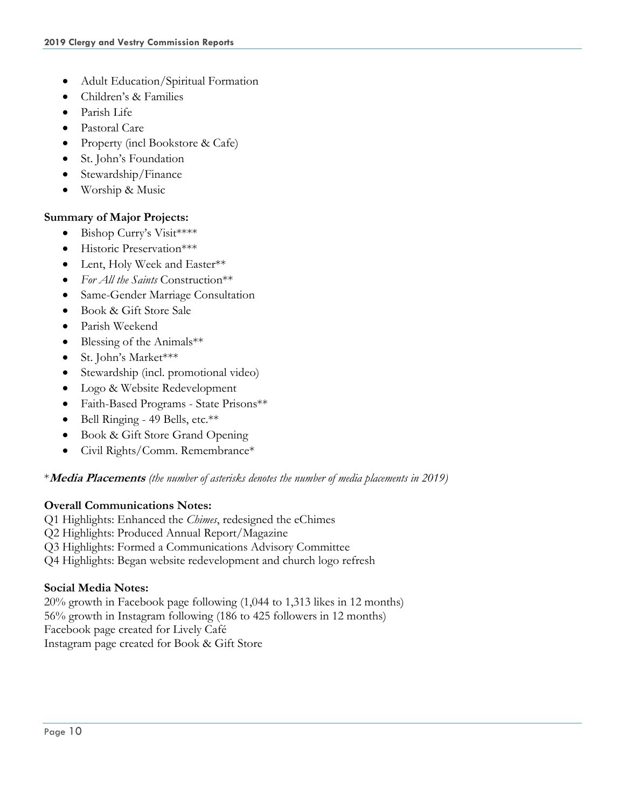- Adult Education/Spiritual Formation
- Children's & Families
- Parish Life
- Pastoral Care
- Property (incl Bookstore & Cafe)
- St. John's Foundation
- Stewardship/Finance
- Worship & Music

#### **Summary of Major Projects:**

- Bishop Curry's Visit\*\*\*\*
- Historic Preservation\*\*\*
- Lent, Holy Week and Easter\*\*
- *For All the Saints* Construction\*\*
- Same-Gender Marriage Consultation
- Book & Gift Store Sale
- Parish Weekend
- Blessing of the Animals\*\*
- St. John's Market\*\*\*
- Stewardship (incl. promotional video)
- Logo & Website Redevelopment
- Faith-Based Programs State Prisons\*\*
- Bell Ringing 49 Bells, etc.\*\*
- Book & Gift Store Grand Opening
- Civil Rights/Comm. Remembrance\*

#### \***Media Placements** *(the number of asterisks denotes the number of media placements in 2019)*

#### **Overall Communications Notes:**

- Q1 Highlights: Enhanced the *Chimes*, redesigned the eChimes
- Q2 Highlights: Produced Annual Report/Magazine
- Q3 Highlights: Formed a Communications Advisory Committee
- Q4 Highlights: Began website redevelopment and church logo refresh

#### **Social Media Notes:**

20% growth in Facebook page following (1,044 to 1,313 likes in 12 months) 56% growth in Instagram following (186 to 425 followers in 12 months) Facebook page created for Lively Café Instagram page created for Book & Gift Store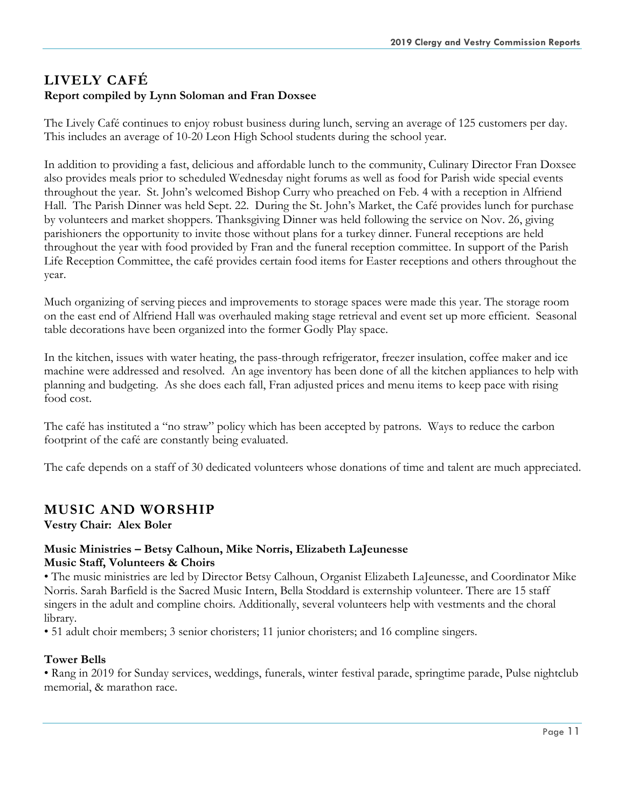# **LIVELY CAFÉ Report compiled by Lynn Soloman and Fran Doxsee**

The Lively Café continues to enjoy robust business during lunch, serving an average of 125 customers per day. This includes an average of 10-20 Leon High School students during the school year.

In addition to providing a fast, delicious and affordable lunch to the community, Culinary Director Fran Doxsee also provides meals prior to scheduled Wednesday night forums as well as food for Parish wide special events throughout the year. St. John's welcomed Bishop Curry who preached on Feb. 4 with a reception in Alfriend Hall. The Parish Dinner was held Sept. 22. During the St. John's Market, the Café provides lunch for purchase by volunteers and market shoppers. Thanksgiving Dinner was held following the service on Nov. 26, giving parishioners the opportunity to invite those without plans for a turkey dinner. Funeral receptions are held throughout the year with food provided by Fran and the funeral reception committee. In support of the Parish Life Reception Committee, the café provides certain food items for Easter receptions and others throughout the year.

Much organizing of serving pieces and improvements to storage spaces were made this year. The storage room on the east end of Alfriend Hall was overhauled making stage retrieval and event set up more efficient. Seasonal table decorations have been organized into the former Godly Play space.

In the kitchen, issues with water heating, the pass-through refrigerator, freezer insulation, coffee maker and ice machine were addressed and resolved. An age inventory has been done of all the kitchen appliances to help with planning and budgeting. As she does each fall, Fran adjusted prices and menu items to keep pace with rising food cost.

The café has instituted a "no straw" policy which has been accepted by patrons. Ways to reduce the carbon footprint of the café are constantly being evaluated.

The cafe depends on a staff of 30 dedicated volunteers whose donations of time and talent are much appreciated.

# **MUSIC AND WORSHIP**

**Vestry Chair: Alex Boler**

#### **Music Ministries – Betsy Calhoun, Mike Norris, Elizabeth LaJeunesse Music Staff, Volunteers & Choirs**

• The music ministries are led by Director Betsy Calhoun, Organist Elizabeth LaJeunesse, and Coordinator Mike Norris. Sarah Barfield is the Sacred Music Intern, Bella Stoddard is externship volunteer. There are 15 staff singers in the adult and compline choirs. Additionally, several volunteers help with vestments and the choral library.

• 51 adult choir members; 3 senior choristers; 11 junior choristers; and 16 compline singers.

#### **Tower Bells**

• Rang in 2019 for Sunday services, weddings, funerals, winter festival parade, springtime parade, Pulse nightclub memorial, & marathon race.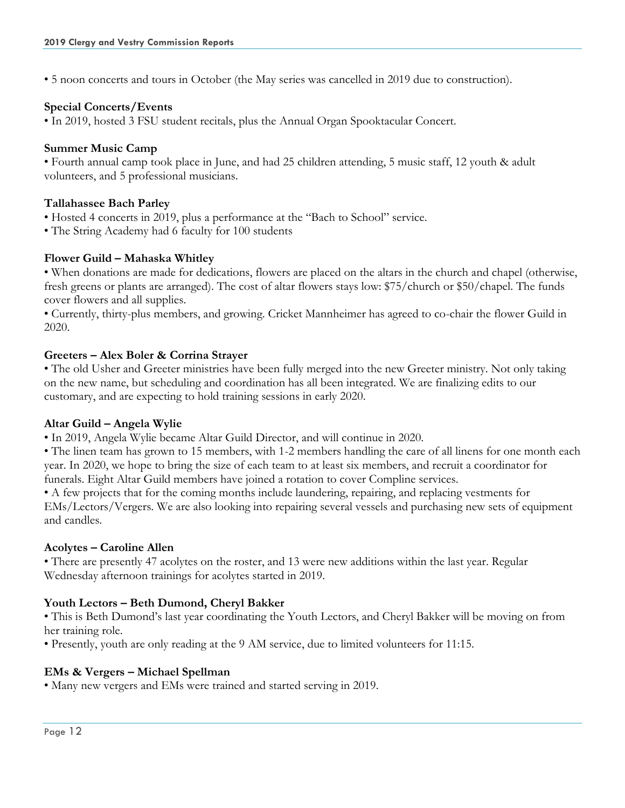• 5 noon concerts and tours in October (the May series was cancelled in 2019 due to construction).

#### **Special Concerts/Events**

• In 2019, hosted 3 FSU student recitals, plus the Annual Organ Spooktacular Concert.

#### **Summer Music Camp**

• Fourth annual camp took place in June, and had 25 children attending, 5 music staff, 12 youth & adult volunteers, and 5 professional musicians.

#### **Tallahassee Bach Parley**

- Hosted 4 concerts in 2019, plus a performance at the "Bach to School" service.
- The String Academy had 6 faculty for 100 students

#### **Flower Guild – Mahaska Whitley**

• When donations are made for dedications, flowers are placed on the altars in the church and chapel (otherwise, fresh greens or plants are arranged). The cost of altar flowers stays low: \$75/church or \$50/chapel. The funds cover flowers and all supplies.

• Currently, thirty-plus members, and growing. Cricket Mannheimer has agreed to co-chair the flower Guild in 2020.

#### **Greeters – Alex Boler & Corrina Strayer**

• The old Usher and Greeter ministries have been fully merged into the new Greeter ministry. Not only taking on the new name, but scheduling and coordination has all been integrated. We are finalizing edits to our customary, and are expecting to hold training sessions in early 2020.

#### **Altar Guild – Angela Wylie**

• In 2019, Angela Wylie became Altar Guild Director, and will continue in 2020.

• The linen team has grown to 15 members, with 1-2 members handling the care of all linens for one month each year. In 2020, we hope to bring the size of each team to at least six members, and recruit a coordinator for funerals. Eight Altar Guild members have joined a rotation to cover Compline services.

• A few projects that for the coming months include laundering, repairing, and replacing vestments for EMs/Lectors/Vergers. We are also looking into repairing several vessels and purchasing new sets of equipment and candles.

#### **Acolytes – Caroline Allen**

• There are presently 47 acolytes on the roster, and 13 were new additions within the last year. Regular Wednesday afternoon trainings for acolytes started in 2019.

#### **Youth Lectors – Beth Dumond, Cheryl Bakker**

• This is Beth Dumond's last year coordinating the Youth Lectors, and Cheryl Bakker will be moving on from her training role.

• Presently, youth are only reading at the 9 AM service, due to limited volunteers for 11:15.

#### **EMs & Vergers – Michael Spellman**

• Many new vergers and EMs were trained and started serving in 2019.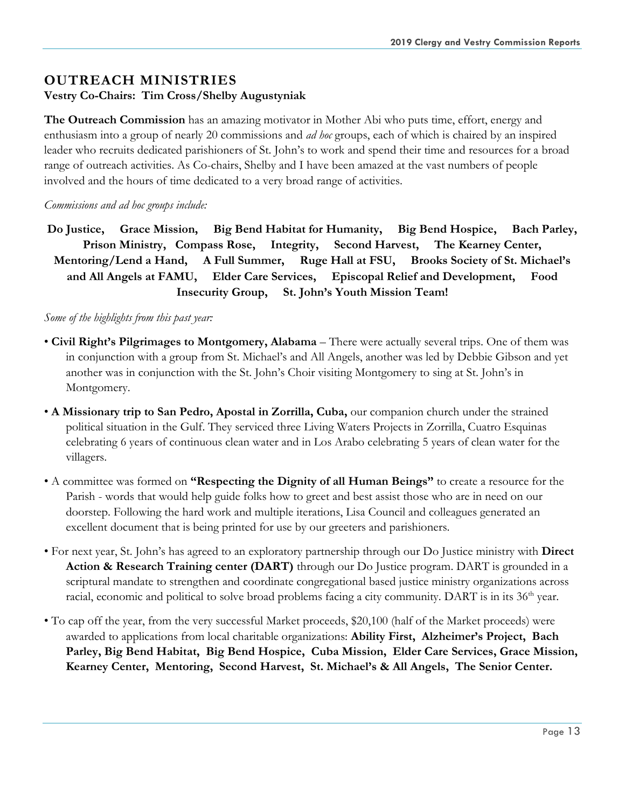# **OUTREACH MINISTRIES**

#### **Vestry Co-Chairs: Tim Cross/Shelby Augustyniak**

**The Outreach Commission** has an amazing motivator in Mother Abi who puts time, effort, energy and enthusiasm into a group of nearly 20 commissions and *ad hoc* groups, each of which is chaired by an inspired leader who recruits dedicated parishioners of St. John's to work and spend their time and resources for a broad range of outreach activities. As Co-chairs, Shelby and I have been amazed at the vast numbers of people involved and the hours of time dedicated to a very broad range of activities.

#### *Commissions and ad hoc groups include:*

**Do Justice, Grace Mission, Big Bend Habitat for Humanity, Big Bend Hospice, Bach Parley, Prison Ministry, Compass Rose, Integrity, Second Harvest, The Kearney Center, Mentoring/Lend a Hand, A Full Summer, Ruge Hall at FSU, Brooks Society of St. Michael's and All Angels at FAMU, Elder Care Services, Episcopal Relief and Development, Food Insecurity Group, St. John's Youth Mission Team!**

#### *Some of the highlights from this past year:*

- **Civil Right's Pilgrimages to Montgomery, Alabama**  There were actually several trips. One of them was in conjunction with a group from St. Michael's and All Angels, another was led by Debbie Gibson and yet another was in conjunction with the St. John's Choir visiting Montgomery to sing at St. John's in Montgomery.
- **A Missionary trip to San Pedro, Apostal in Zorrilla, Cuba,** our companion church under the strained political situation in the Gulf. They serviced three Living Waters Projects in Zorrilla, Cuatro Esquinas celebrating 6 years of continuous clean water and in Los Arabo celebrating 5 years of clean water for the villagers.
- A committee was formed on **"Respecting the Dignity of all Human Beings"** to create a resource for the Parish - words that would help guide folks how to greet and best assist those who are in need on our doorstep. Following the hard work and multiple iterations, Lisa Council and colleagues generated an excellent document that is being printed for use by our greeters and parishioners.
- For next year, St. John's has agreed to an exploratory partnership through our Do Justice ministry with **Direct Action & Research Training center (DART)** through our Do Justice program. DART is grounded in a scriptural mandate to strengthen and coordinate congregational based justice ministry organizations across racial, economic and political to solve broad problems facing a city community. DART is in its 36<sup>th</sup> year.
- To cap off the year, from the very successful Market proceeds, \$20,100 (half of the Market proceeds) were awarded to applications from local charitable organizations: **Ability First, Alzheimer's Project, Bach Parley, Big Bend Habitat, Big Bend Hospice, Cuba Mission, Elder Care Services, Grace Mission, Kearney Center, Mentoring, Second Harvest, St. Michael's & All Angels, The Senior Center.**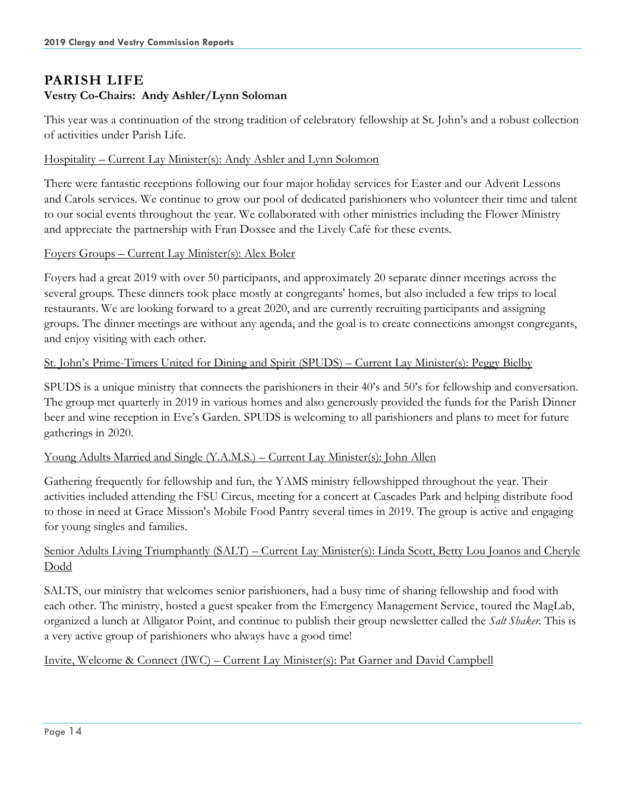# **PARISH LIFE Vestry Co-Chairs: Andy Ashler/Lynn Soloman**

This year was a continuation of the strong tradition of celebratory fellowship at St. John's and a robust collection of activities under Parish Life.

#### Hospitality – Current Lay Minister(s): Andy Ashler and Lynn Solomon

There were fantastic receptions following our four major holiday services for Easter and our Advent Lessons and Carols services. We continue to grow our pool of dedicated parishioners who volunteer their time and talent to our social events throughout the year. We collaborated with other ministries including the Flower Ministry and appreciate the partnership with Fran Doxsee and the Lively Café for these events.

#### Foyers Groups – Current Lay Minister(s): Alex Boler

Foyers had a great 2019 with over 50 participants, and approximately 20 separate dinner meetings across the several groups. These dinners took place mostly at congregants' homes, but also included a few trips to local restaurants. We are looking forward to a great 2020, and are currently recruiting participants and assigning groups. The dinner meetings are without any agenda, and the goal is to create connections amongst congregants, and enjoy visiting with each other.

#### St. John's Prime-Timers United for Dining and Spirit (SPUDS) – Current Lay Minister(s): Peggy Bielby

SPUDS is a unique ministry that connects the parishioners in their 40's and 50's for fellowship and conversation. The group met quarterly in 2019 in various homes and also generously provided the funds for the Parish Dinner beer and wine reception in Eve's Garden. SPUDS is welcoming to all parishioners and plans to meet for future gatherings in 2020.

#### Young Adults Married and Single (Y.A.M.S.) – Current Lay Minister(s): John Allen

Gathering frequently for fellowship and fun, the YAMS ministry fellowshipped throughout the year. Their activities included attending the FSU Circus, meeting for a concert at Cascades Park and helping distribute food to those in need at Grace Mission's Mobile Food Pantry several times in 2019. The group is active and engaging for young singles and families.

#### Senior Adults Living Triumphantly (SALT) – Current Lay Minister(s): Linda Scott, Betty Lou Joanos and Cheryle Dodd

SALTS, our ministry that welcomes senior parishioners, had a busy time of sharing fellowship and food with each other. The ministry, hosted a guest speaker from the Emergency Management Service, toured the MagLab, organized a lunch at Alligator Point, and continue to publish their group newsletter called the *Salt Shaker*. This is a very active group of parishioners who always have a good time!

#### Invite, Welcome & Connect (IWC) – Current Lay Minister(s): Pat Garner and David Campbell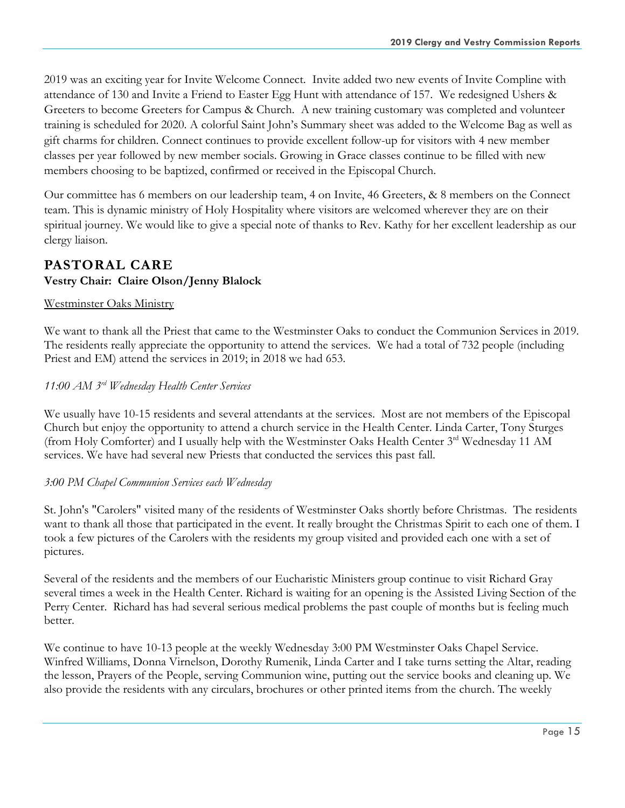2019 was an exciting year for Invite Welcome Connect. Invite added two new events of Invite Compline with attendance of 130 and Invite a Friend to Easter Egg Hunt with attendance of 157. We redesigned Ushers & Greeters to become Greeters for Campus & Church. A new training customary was completed and volunteer training is scheduled for 2020. A colorful Saint John's Summary sheet was added to the Welcome Bag as well as gift charms for children. Connect continues to provide excellent follow-up for visitors with 4 new member classes per year followed by new member socials. Growing in Grace classes continue to be filled with new members choosing to be baptized, confirmed or received in the Episcopal Church.

Our committee has 6 members on our leadership team, 4 on Invite, 46 Greeters, & 8 members on the Connect team. This is dynamic ministry of Holy Hospitality where visitors are welcomed wherever they are on their spiritual journey. We would like to give a special note of thanks to Rev. Kathy for her excellent leadership as our clergy liaison.

## **PASTORAL CARE Vestry Chair: Claire Olson/Jenny Blalock**

#### Westminster Oaks Ministry

We want to thank all the Priest that came to the Westminster Oaks to conduct the Communion Services in 2019. The residents really appreciate the opportunity to attend the services. We had a total of 732 people (including Priest and EM) attend the services in 2019; in 2018 we had 653.

#### *11:00 AM 3rd Wednesday Health Center Services*

We usually have 10-15 residents and several attendants at the services. Most are not members of the Episcopal Church but enjoy the opportunity to attend a church service in the Health Center. Linda Carter, Tony Sturges (from Holy Comforter) and I usually help with the Westminster Oaks Health Center 3<sup>rd</sup> Wednesday 11 AM services. We have had several new Priests that conducted the services this past fall.

#### *3:00 PM Chapel Communion Services each Wednesday*

St. John's "Carolers" visited many of the residents of Westminster Oaks shortly before Christmas. The residents want to thank all those that participated in the event. It really brought the Christmas Spirit to each one of them. I took a few pictures of the Carolers with the residents my group visited and provided each one with a set of pictures.

Several of the residents and the members of our Eucharistic Ministers group continue to visit Richard Gray several times a week in the Health Center. Richard is waiting for an opening is the Assisted Living Section of the Perry Center. Richard has had several serious medical problems the past couple of months but is feeling much better.

We continue to have 10-13 people at the weekly Wednesday 3:00 PM Westminster Oaks Chapel Service. Winfred Williams, Donna Virnelson, Dorothy Rumenik, Linda Carter and I take turns setting the Altar, reading the lesson, Prayers of the People, serving Communion wine, putting out the service books and cleaning up. We also provide the residents with any circulars, brochures or other printed items from the church. The weekly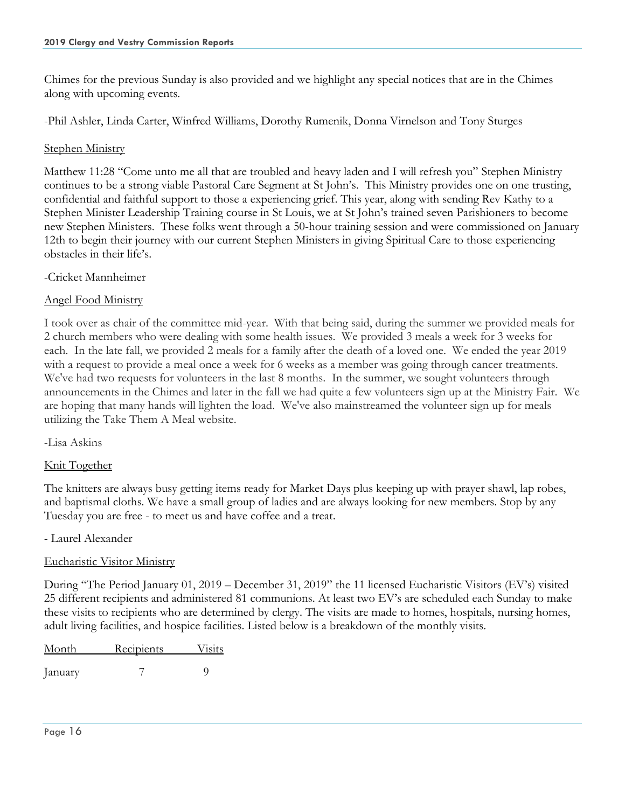Chimes for the previous Sunday is also provided and we highlight any special notices that are in the Chimes along with upcoming events.

-Phil Ashler, Linda Carter, Winfred Williams, Dorothy Rumenik, Donna Virnelson and Tony Sturges

#### Stephen Ministry

Matthew 11:28 "Come unto me all that are troubled and heavy laden and I will refresh you" Stephen Ministry continues to be a strong viable Pastoral Care Segment at St John's. This Ministry provides one on one trusting, confidential and faithful support to those a experiencing grief. This year, along with sending Rev Kathy to a Stephen Minister Leadership Training course in St Louis, we at St John's trained seven Parishioners to become new Stephen Ministers. These folks went through a 50-hour training session and were commissioned on January 12th to begin their journey with our current Stephen Ministers in giving Spiritual Care to those experiencing obstacles in their life's.

-Cricket Mannheimer

#### Angel Food Ministry

I took over as chair of the committee mid-year. With that being said, during the summer we provided meals for 2 church members who were dealing with some health issues. We provided 3 meals a week for 3 weeks for each. In the late fall, we provided 2 meals for a family after the death of a loved one. We ended the year 2019 with a request to provide a meal once a week for 6 weeks as a member was going through cancer treatments. We've had two requests for volunteers in the last 8 months. In the summer, we sought volunteers through announcements in the Chimes and later in the fall we had quite a few volunteers sign up at the Ministry Fair. We are hoping that many hands will lighten the load. We've also mainstreamed the volunteer sign up for meals utilizing the Take Them A Meal website.

-Lisa Askins

#### Knit Together

The knitters are always busy getting items ready for Market Days plus keeping up with prayer shawl, lap robes, and baptismal cloths. We have a small group of ladies and are always looking for new members. Stop by any Tuesday you are free - to meet us and have coffee and a treat.

- Laurel Alexander

#### Eucharistic Visitor Ministry

During "The Period January 01, 2019 – December 31, 2019" the 11 licensed Eucharistic Visitors (EV's) visited 25 different recipients and administered 81 communions. At least two EV's are scheduled each Sunday to make these visits to recipients who are determined by clergy. The visits are made to homes, hospitals, nursing homes, adult living facilities, and hospice facilities. Listed below is a breakdown of the monthly visits.

| Month   | Recipients | <b>Visits</b> |  |  |
|---------|------------|---------------|--|--|
| January |            |               |  |  |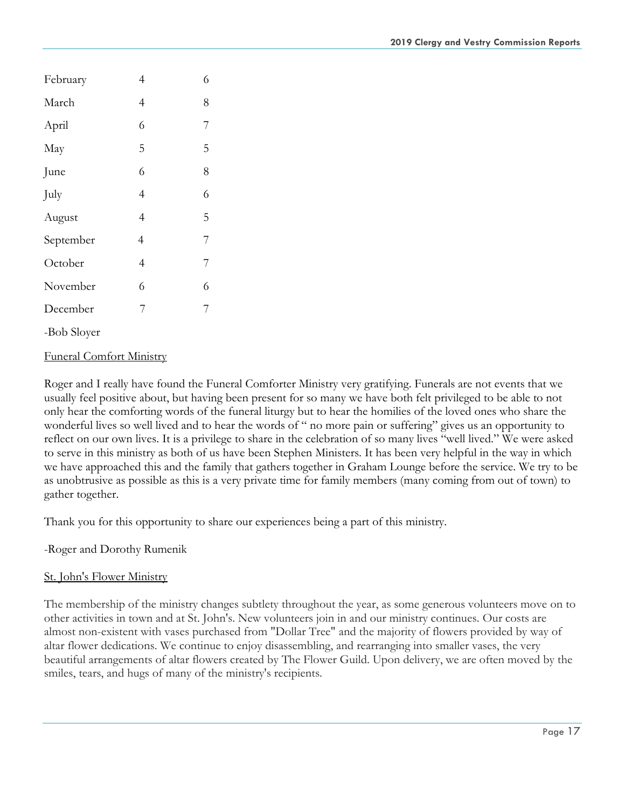| February    | 4 | 6 |
|-------------|---|---|
| March       | 4 | 8 |
| April       | 6 | 7 |
| May         | 5 | 5 |
| June        | 6 | 8 |
| July        | 4 | 6 |
| August      | 4 | 5 |
| September   | 4 | 7 |
| October     | 4 | 7 |
| November    | 6 | 6 |
| December    | 7 | 7 |
| -Bob Sloyer |   |   |

#### Funeral Comfort Ministry

Roger and I really have found the Funeral Comforter Ministry very gratifying. Funerals are not events that we usually feel positive about, but having been present for so many we have both felt privileged to be able to not only hear the comforting words of the funeral liturgy but to hear the homilies of the loved ones who share the wonderful lives so well lived and to hear the words of " no more pain or suffering" gives us an opportunity to reflect on our own lives. It is a privilege to share in the celebration of so many lives "well lived." We were asked to serve in this ministry as both of us have been Stephen Ministers. It has been very helpful in the way in which we have approached this and the family that gathers together in Graham Lounge before the service. We try to be as unobtrusive as possible as this is a very private time for family members (many coming from out of town) to gather together.

Thank you for this opportunity to share our experiences being a part of this ministry.

-Roger and Dorothy Rumenik

#### St. John's Flower Ministry

The membership of the ministry changes subtlety throughout the year, as some generous volunteers move on to other activities in town and at St. John's. New volunteers join in and our ministry continues. Our costs are almost non-existent with vases purchased from "Dollar Tree" and the majority of flowers provided by way of altar flower dedications. We continue to enjoy disassembling, and rearranging into smaller vases, the very beautiful arrangements of altar flowers created by The Flower Guild. Upon delivery, we are often moved by the smiles, tears, and hugs of many of the ministry's recipients.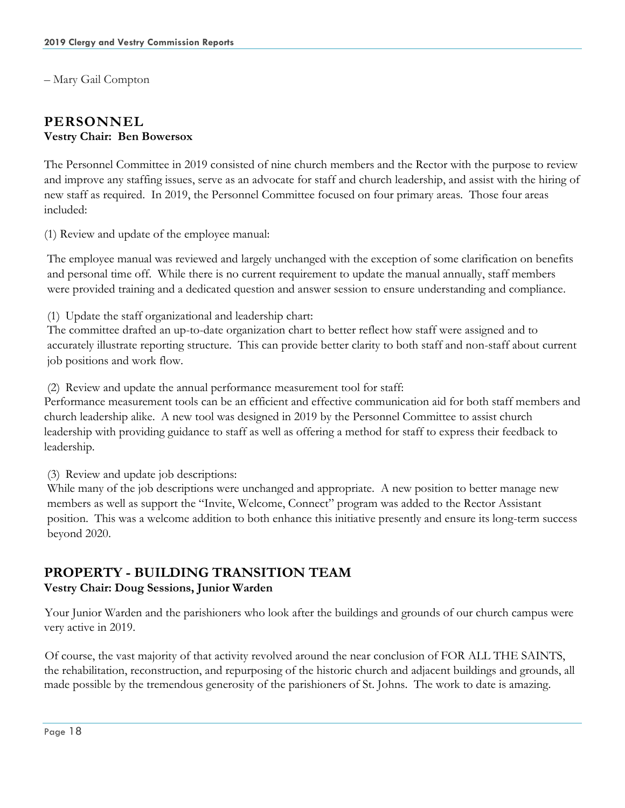– Mary Gail Compton

## **PERSONNEL Vestry Chair: Ben Bowersox**

The Personnel Committee in 2019 consisted of nine church members and the Rector with the purpose to review and improve any staffing issues, serve as an advocate for staff and church leadership, and assist with the hiring of new staff as required. In 2019, the Personnel Committee focused on four primary areas. Those four areas included:

(1) Review and update of the employee manual:

The employee manual was reviewed and largely unchanged with the exception of some clarification on benefits and personal time off. While there is no current requirement to update the manual annually, staff members were provided training and a dedicated question and answer session to ensure understanding and compliance.

(1) Update the staff organizational and leadership chart:

The committee drafted an up-to-date organization chart to better reflect how staff were assigned and to accurately illustrate reporting structure. This can provide better clarity to both staff and non-staff about current job positions and work flow.

(2) Review and update the annual performance measurement tool for staff:

Performance measurement tools can be an efficient and effective communication aid for both staff members and church leadership alike. A new tool was designed in 2019 by the Personnel Committee to assist church leadership with providing guidance to staff as well as offering a method for staff to express their feedback to leadership.

(3) Review and update job descriptions:

While many of the job descriptions were unchanged and appropriate. A new position to better manage new members as well as support the "Invite, Welcome, Connect" program was added to the Rector Assistant position. This was a welcome addition to both enhance this initiative presently and ensure its long-term success beyond 2020.

# **PROPERTY - BUILDING TRANSITION TEAM**

#### **Vestry Chair: Doug Sessions, Junior Warden**

Your Junior Warden and the parishioners who look after the buildings and grounds of our church campus were very active in 2019.

Of course, the vast majority of that activity revolved around the near conclusion of FOR ALL THE SAINTS, the rehabilitation, reconstruction, and repurposing of the historic church and adjacent buildings and grounds, all made possible by the tremendous generosity of the parishioners of St. Johns. The work to date is amazing.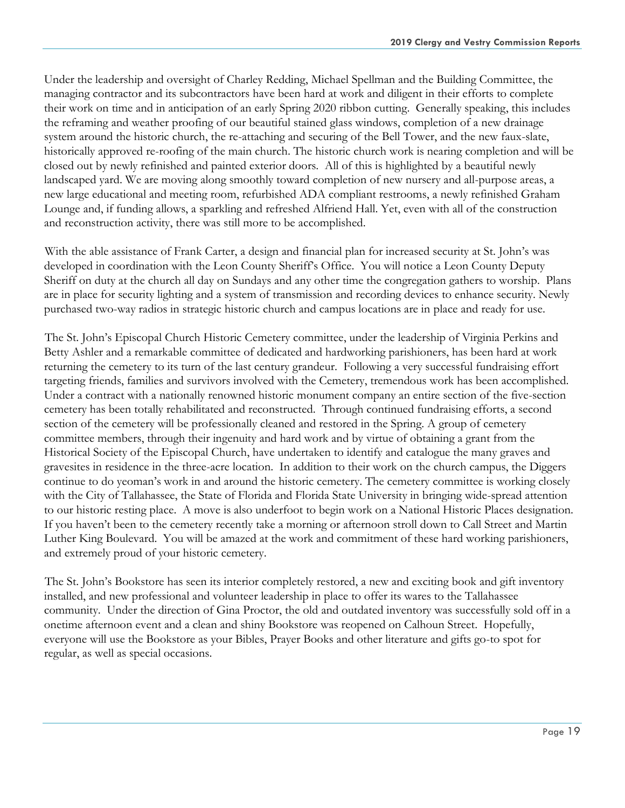Under the leadership and oversight of Charley Redding, Michael Spellman and the Building Committee, the managing contractor and its subcontractors have been hard at work and diligent in their efforts to complete their work on time and in anticipation of an early Spring 2020 ribbon cutting. Generally speaking, this includes the reframing and weather proofing of our beautiful stained glass windows, completion of a new drainage system around the historic church, the re-attaching and securing of the Bell Tower, and the new faux-slate, historically approved re-roofing of the main church. The historic church work is nearing completion and will be closed out by newly refinished and painted exterior doors. All of this is highlighted by a beautiful newly landscaped yard. We are moving along smoothly toward completion of new nursery and all-purpose areas, a new large educational and meeting room, refurbished ADA compliant restrooms, a newly refinished Graham Lounge and, if funding allows, a sparkling and refreshed Alfriend Hall. Yet, even with all of the construction and reconstruction activity, there was still more to be accomplished.

With the able assistance of Frank Carter, a design and financial plan for increased security at St. John's was developed in coordination with the Leon County Sheriff's Office. You will notice a Leon County Deputy Sheriff on duty at the church all day on Sundays and any other time the congregation gathers to worship. Plans are in place for security lighting and a system of transmission and recording devices to enhance security. Newly purchased two-way radios in strategic historic church and campus locations are in place and ready for use.

The St. John's Episcopal Church Historic Cemetery committee, under the leadership of Virginia Perkins and Betty Ashler and a remarkable committee of dedicated and hardworking parishioners, has been hard at work returning the cemetery to its turn of the last century grandeur. Following a very successful fundraising effort targeting friends, families and survivors involved with the Cemetery, tremendous work has been accomplished. Under a contract with a nationally renowned historic monument company an entire section of the five-section cemetery has been totally rehabilitated and reconstructed. Through continued fundraising efforts, a second section of the cemetery will be professionally cleaned and restored in the Spring. A group of cemetery committee members, through their ingenuity and hard work and by virtue of obtaining a grant from the Historical Society of the Episcopal Church, have undertaken to identify and catalogue the many graves and gravesites in residence in the three-acre location. In addition to their work on the church campus, the Diggers continue to do yeoman's work in and around the historic cemetery. The cemetery committee is working closely with the City of Tallahassee, the State of Florida and Florida State University in bringing wide-spread attention to our historic resting place. A move is also underfoot to begin work on a National Historic Places designation. If you haven't been to the cemetery recently take a morning or afternoon stroll down to Call Street and Martin Luther King Boulevard. You will be amazed at the work and commitment of these hard working parishioners, and extremely proud of your historic cemetery.

The St. John's Bookstore has seen its interior completely restored, a new and exciting book and gift inventory installed, and new professional and volunteer leadership in place to offer its wares to the Tallahassee community. Under the direction of Gina Proctor, the old and outdated inventory was successfully sold off in a onetime afternoon event and a clean and shiny Bookstore was reopened on Calhoun Street. Hopefully, everyone will use the Bookstore as your Bibles, Prayer Books and other literature and gifts go-to spot for regular, as well as special occasions.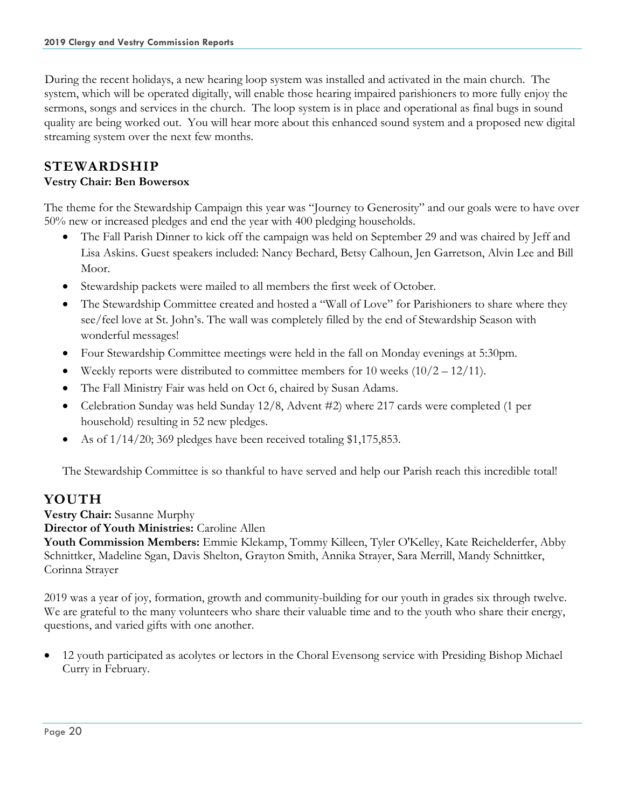During the recent holidays, a new hearing loop system was installed and activated in the main church. The system, which will be operated digitally, will enable those hearing impaired parishioners to more fully enjoy the sermons, songs and services in the church. The loop system is in place and operational as final bugs in sound quality are being worked out. You will hear more about this enhanced sound system and a proposed new digital streaming system over the next few months.

## **STEWARDSHIP**

#### **Vestry Chair: Ben Bowersox**

The theme for the Stewardship Campaign this year was "Journey to Generosity" and our goals were to have over 50% new or increased pledges and end the year with 400 pledging households.

- The Fall Parish Dinner to kick off the campaign was held on September 29 and was chaired by Jeff and Lisa Askins. Guest speakers included: Nancy Bechard, Betsy Calhoun, Jen Garretson, Alvin Lee and Bill Moor.
- Stewardship packets were mailed to all members the first week of October.
- The Stewardship Committee created and hosted a "Wall of Love" for Parishioners to share where they see/feel love at St. John's. The wall was completely filled by the end of Stewardship Season with wonderful messages!
- Four Stewardship Committee meetings were held in the fall on Monday evenings at 5:30pm.
- Weekly reports were distributed to committee members for 10 weeks  $(10/2 12/11)$ .
- The Fall Ministry Fair was held on Oct 6, chaired by Susan Adams.
- Celebration Sunday was held Sunday 12/8, Advent #2) where 217 cards were completed (1 per household) resulting in 52 new pledges.
- As of  $1/14/20$ ; 369 pledges have been received totaling \$1,175,853.

The Stewardship Committee is so thankful to have served and help our Parish reach this incredible total!

# **YOUTH**

**Vestry Chair:** Susanne Murphy

**Director of Youth Ministries:** Caroline Allen

**Youth Commission Members:** Emmie Klekamp, Tommy Killeen, Tyler O'Kelley, Kate Reichelderfer, Abby Schnittker, Madeline Sgan, Davis Shelton, Grayton Smith, Annika Strayer, Sara Merrill, Mandy Schnittker, Corinna Strayer

2019 was a year of joy, formation, growth and community-building for our youth in grades six through twelve. We are grateful to the many volunteers who share their valuable time and to the youth who share their energy, questions, and varied gifts with one another.

• 12 youth participated as acolytes or lectors in the Choral Evensong service with Presiding Bishop Michael Curry in February.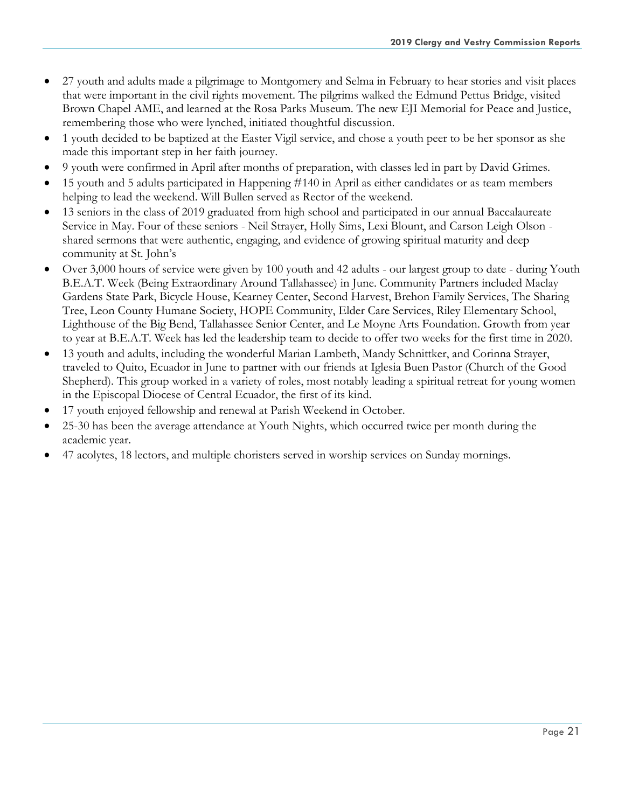- 27 youth and adults made a pilgrimage to Montgomery and Selma in February to hear stories and visit places that were important in the civil rights movement. The pilgrims walked the Edmund Pettus Bridge, visited Brown Chapel AME, and learned at the Rosa Parks Museum. The new EJI Memorial for Peace and Justice, remembering those who were lynched, initiated thoughtful discussion.
- 1 youth decided to be baptized at the Easter Vigil service, and chose a youth peer to be her sponsor as she made this important step in her faith journey.
- 9 youth were confirmed in April after months of preparation, with classes led in part by David Grimes.
- 15 youth and 5 adults participated in Happening #140 in April as either candidates or as team members helping to lead the weekend. Will Bullen served as Rector of the weekend.
- 13 seniors in the class of 2019 graduated from high school and participated in our annual Baccalaureate Service in May. Four of these seniors - Neil Strayer, Holly Sims, Lexi Blount, and Carson Leigh Olson shared sermons that were authentic, engaging, and evidence of growing spiritual maturity and deep community at St. John's
- Over 3,000 hours of service were given by 100 youth and 42 adults our largest group to date during Youth B.E.A.T. Week (Being Extraordinary Around Tallahassee) in June. Community Partners included Maclay Gardens State Park, Bicycle House, Kearney Center, Second Harvest, Brehon Family Services, The Sharing Tree, Leon County Humane Society, HOPE Community, Elder Care Services, Riley Elementary School, Lighthouse of the Big Bend, Tallahassee Senior Center, and Le Moyne Arts Foundation. Growth from year to year at B.E.A.T. Week has led the leadership team to decide to offer two weeks for the first time in 2020.
- 13 youth and adults, including the wonderful Marian Lambeth, Mandy Schnittker, and Corinna Strayer, traveled to Quito, Ecuador in June to partner with our friends at Iglesia Buen Pastor (Church of the Good Shepherd). This group worked in a variety of roles, most notably leading a spiritual retreat for young women in the Episcopal Diocese of Central Ecuador, the first of its kind.
- 17 youth enjoyed fellowship and renewal at Parish Weekend in October.
- 25-30 has been the average attendance at Youth Nights, which occurred twice per month during the academic year.
- 47 acolytes, 18 lectors, and multiple choristers served in worship services on Sunday mornings.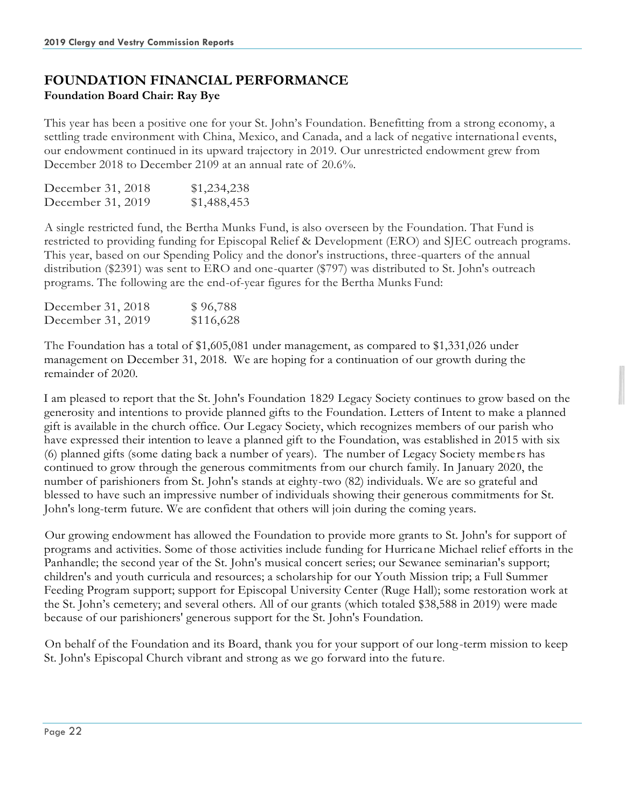# **FOUNDATION FINANCIAL PERFORMANCE Foundation Board Chair: Ray Bye**

This year has been a positive one for your St. John's Foundation. Benefitting from a strong economy, a settling trade environment with China, Mexico, and Canada, and a lack of negative international events, our endowment continued in its upward trajectory in 2019. Our unrestricted endowment grew from December 2018 to December 2109 at an annual rate of 20.6%.

| December 31, 2018 | \$1,234,238 |
|-------------------|-------------|
| December 31, 2019 | \$1,488,453 |

A single restricted fund, the Bertha Munks Fund, is also overseen by the Foundation. That Fund is restricted to providing funding for Episcopal Relief & Development (ERO) and SJEC outreach programs. This year, based on our Spending Policy and the donor's instructions, three-quarters of the annual distribution (\$2391) was sent to ERO and one-quarter (\$797) was distributed to St. John's outreach programs. The following are the end-of-year figures for the Bertha Munks Fund:

| December 31, 2018 | \$96,788  |
|-------------------|-----------|
| December 31, 2019 | \$116,628 |

The Foundation has a total of \$1,605,081 under management, as compared to \$1,331,026 under management on December 31, 2018. We are hoping for a continuation of our growth during the remainder of 2020.

I am pleased to report that the St. John's Foundation 1829 Legacy Society continues to grow based on the generosity and intentions to provide planned gifts to the Foundation. Letters of Intent to make a planned gift is available in the church office. Our Legacy Society, which recognizes members of our parish who have expressed their intention to leave a planned gift to the Foundation, was established in 2015 with six (6) planned gifts (some dating back a number of years). The number of Legacy Society membe rs has continued to grow through the generous commitments from our church family. In January 2020, the number of parishioners from St. John's stands at eighty-two (82) individuals. We are so grateful and blessed to have such an impressive number of individuals showing their generous commitments for St. John's long-term future. We are confident that others will join during the coming years.

Our growing endowment has allowed the Foundation to provide more grants to St. John's for support of programs and activities. Some of those activities include funding for Hurricane Michael relief efforts in the Panhandle; the second year of the St. John's musical concert series; our Sewanee seminarian's support; children's and youth curricula and resources; a scholarship for our Youth Mission trip; a Full Summer Feeding Program support; support for Episcopal University Center (Ruge Hall); some restoration work at the St. John's cemetery; and several others. All of our grants (which totaled \$38,588 in 2019) were made because of our parishioners' generous support for the St. John's Foundation.

On behalf of the Foundation and its Board, thank you for your support of our long-term mission to keep St. John's Episcopal Church vibrant and strong as we go forward into the future.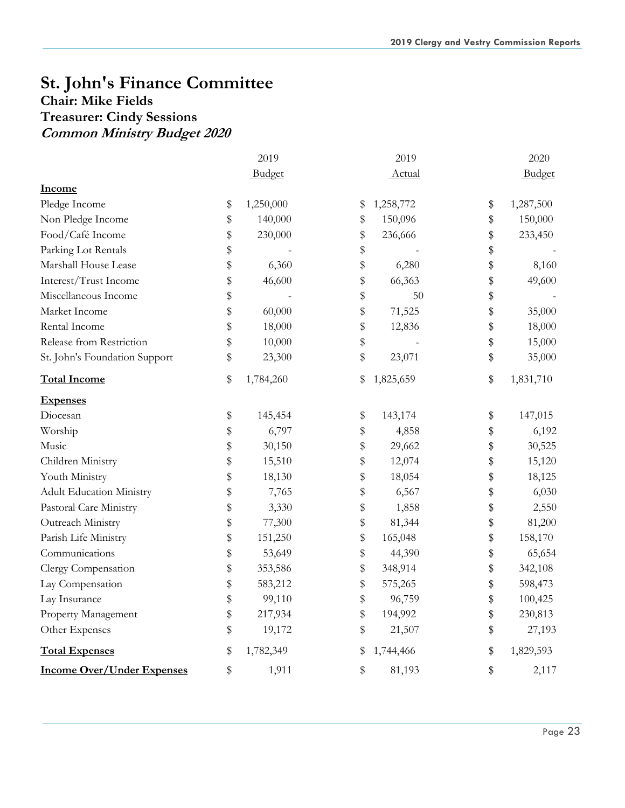# **St. John's Finance Committee**

# **Chair: Mike Fields Treasurer: Cindy Sessions**

**Common Ministry Budget 2020**

|                                   | 2019            | 2019            | 2020            |
|-----------------------------------|-----------------|-----------------|-----------------|
|                                   | Budget          | Actual          | Budget          |
| Income                            |                 |                 |                 |
| Pledge Income                     | \$<br>1,250,000 | \$<br>1,258,772 | \$<br>1,287,500 |
| Non Pledge Income                 | \$<br>140,000   | \$<br>150,096   | \$<br>150,000   |
| Food/Café Income                  | \$<br>230,000   | \$<br>236,666   | \$<br>233,450   |
| Parking Lot Rentals               | \$              | \$              | \$              |
| Marshall House Lease              | \$<br>6,360     | \$<br>6,280     | \$<br>8,160     |
| Interest/Trust Income             | \$<br>46,600    | \$<br>66,363    | \$<br>49,600    |
| Miscellaneous Income              | \$              | \$<br>50        | \$              |
| Market Income                     | \$<br>60,000    | \$<br>71,525    | \$<br>35,000    |
| Rental Income                     | \$<br>18,000    | \$<br>12,836    | \$<br>18,000    |
| Release from Restriction          | \$<br>10,000    | \$              | \$<br>15,000    |
| St. John's Foundation Support     | \$<br>23,300    | \$<br>23,071    | \$<br>35,000    |
| <b>Total Income</b>               | \$<br>1,784,260 | \$<br>1,825,659 | \$<br>1,831,710 |
| <b>Expenses</b>                   |                 |                 |                 |
| Diocesan                          | \$<br>145,454   | \$<br>143,174   | \$<br>147,015   |
| Worship                           | \$<br>6,797     | \$<br>4,858     | \$<br>6,192     |
| Music                             | \$<br>30,150    | \$<br>29,662    | \$<br>30,525    |
| Children Ministry                 | \$<br>15,510    | \$<br>12,074    | \$<br>15,120    |
| Youth Ministry                    | \$<br>18,130    | \$<br>18,054    | \$<br>18,125    |
| <b>Adult Education Ministry</b>   | \$<br>7,765     | \$<br>6,567     | \$<br>6,030     |
| Pastoral Care Ministry            | \$<br>3,330     | \$<br>1,858     | \$<br>2,550     |
| Outreach Ministry                 | \$<br>77,300    | \$<br>81,344    | \$<br>81,200    |
| Parish Life Ministry              | \$<br>151,250   | \$<br>165,048   | \$<br>158,170   |
| Communications                    | \$<br>53,649    | \$<br>44,390    | \$<br>65,654    |
| Clergy Compensation               | \$<br>353,586   | \$<br>348,914   | \$<br>342,108   |
| Lay Compensation                  | \$<br>583,212   | \$<br>575,265   | \$<br>598,473   |
| Lay Insurance                     | \$<br>99,110    | \$<br>96,759    | \$<br>100,425   |
| Property Management               | \$<br>217,934   | \$<br>194,992   | \$<br>230,813   |
| Other Expenses                    | \$<br>19,172    | \$<br>21,507    | \$<br>27,193    |
| <b>Total Expenses</b>             | \$<br>1,782,349 | \$<br>1,744,466 | \$<br>1,829,593 |
| <b>Income Over/Under Expenses</b> | \$<br>1,911     | \$<br>81,193    | \$<br>2,117     |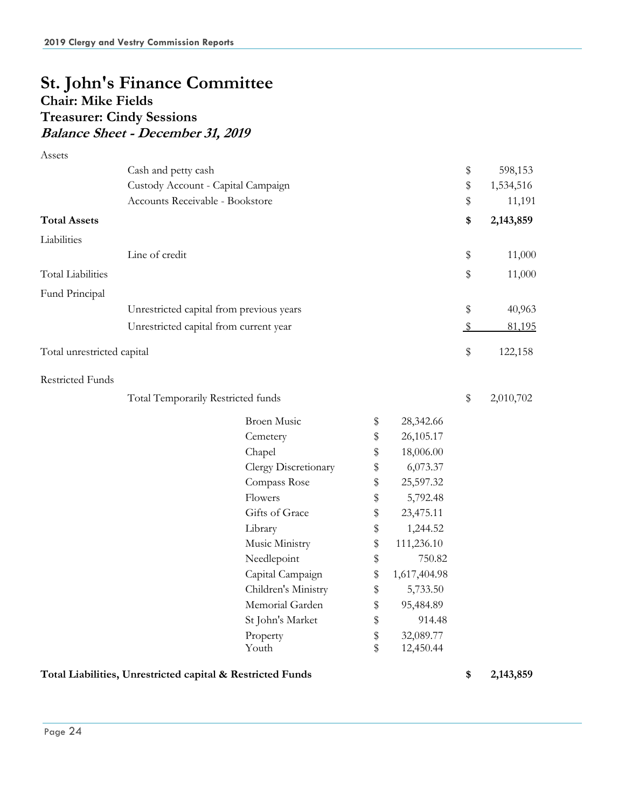# **St. John's Finance Committee Chair: Mike Fields Treasurer: Cindy Sessions Balance Sheet - December 31, 2019**

| Assets                     |                                          |                      |                    |               |           |
|----------------------------|------------------------------------------|----------------------|--------------------|---------------|-----------|
|                            | Cash and petty cash                      |                      |                    | \$            | 598,153   |
|                            | Custody Account - Capital Campaign       |                      |                    | \$            | 1,534,516 |
|                            | Accounts Receivable - Bookstore          |                      |                    | \$            | 11,191    |
| <b>Total Assets</b>        |                                          |                      |                    | \$            | 2,143,859 |
| Liabilities                |                                          |                      |                    |               |           |
|                            | Line of credit                           |                      |                    | \$            | 11,000    |
| <b>Total Liabilities</b>   |                                          |                      |                    | \$            | 11,000    |
| Fund Principal             |                                          |                      |                    |               |           |
|                            | Unrestricted capital from previous years |                      |                    | \$            | 40,963    |
|                            | Unrestricted capital from current year   |                      |                    | $\sqrt[6]{2}$ | 81,195    |
| Total unrestricted capital |                                          |                      |                    | \$            | 122,158   |
| <b>Restricted Funds</b>    |                                          |                      |                    |               |           |
|                            | Total Temporarily Restricted funds       |                      |                    | \$            | 2,010,702 |
|                            |                                          | <b>Broen Music</b>   | \$<br>28,342.66    |               |           |
|                            |                                          | Cemetery             | \$<br>26,105.17    |               |           |
|                            |                                          | Chapel               | \$<br>18,006.00    |               |           |
|                            |                                          | Clergy Discretionary | \$<br>6,073.37     |               |           |
|                            |                                          | Compass Rose         | \$<br>25,597.32    |               |           |
|                            |                                          | Flowers              | \$<br>5,792.48     |               |           |
|                            |                                          | Gifts of Grace       | \$<br>23,475.11    |               |           |
|                            |                                          | Library              | \$<br>1,244.52     |               |           |
|                            |                                          | Music Ministry       | \$<br>111,236.10   |               |           |
|                            |                                          | Needlepoint          | \$<br>750.82       |               |           |
|                            |                                          | Capital Campaign     | \$<br>1,617,404.98 |               |           |
|                            |                                          | Children's Ministry  | \$<br>5,733.50     |               |           |
|                            |                                          | Memorial Garden      | \$<br>95,484.89    |               |           |
|                            |                                          | St John's Market     | \$<br>914.48       |               |           |
|                            |                                          | Property             | \$<br>32,089.77    |               |           |
|                            |                                          | Youth                | \$<br>12,450.44    |               |           |
|                            |                                          |                      |                    |               |           |

#### **Total Liabilities, Unrestricted capital & Restricted Funds \$ 2,143,859**